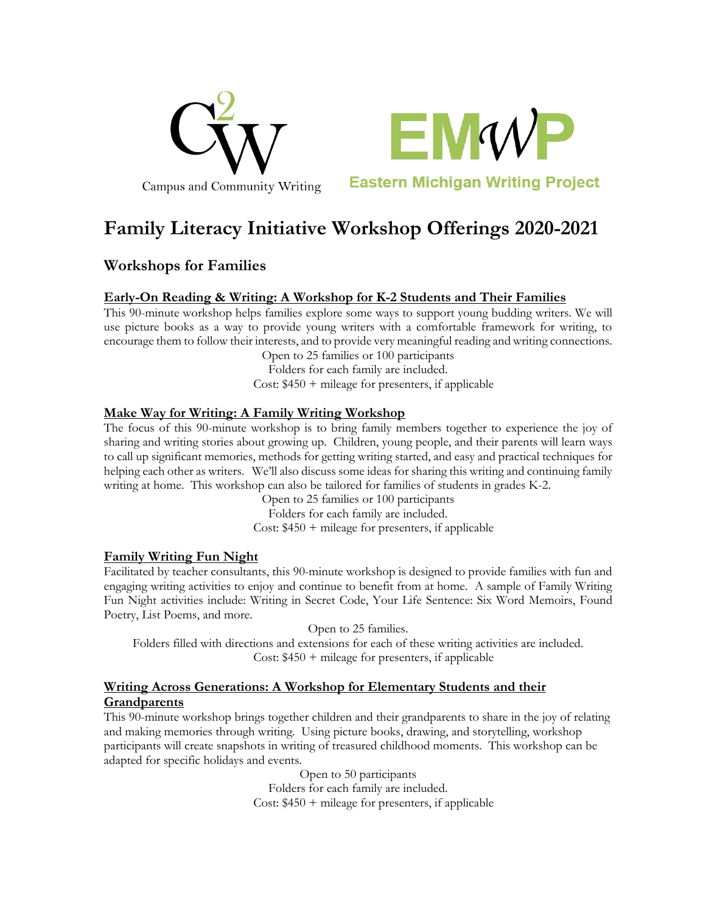



**Eastern Michigan Writing Project** 

# **Family Literacy Initiative Workshop Offerings 2020-2021**

# **Workshops for Families**

## **Early-On Reading & Writing: A Workshop for K-2 Students and Their Families**

This 90-minute workshop helps families explore some ways to support young budding writers. We will use picture books as a way to provide young writers with a comfortable framework for writing, to encourage them to follow their interests, and to provide very meaningful reading and writing connections.

Open to 25 families or 100 participants Folders for each family are included.

Cost: \$450 + mileage for presenters, if applicable

#### **Make Way for Writing: A Family Writing Workshop**

The focus of this 90-minute workshop is to bring family members together to experience the joy of sharing and writing stories about growing up. Children, young people, and their parents will learn ways to call up significant memories, methods for getting writing started, and easy and practical techniques for helping each other as writers. We'll also discuss some ideas for sharing this writing and continuing family writing at home. This workshop can also be tailored for families of students in grades K-2.

> Open to 25 families or 100 participants Folders for each family are included. Cost:  $$450 +$  mileage for presenters, if applicable

#### **Family Writing Fun Night**

Facilitated by teacher consultants, this 90-minute workshop is designed to provide families with fun and engaging writing activities to enjoy and continue to benefit from at home. A sample of Family Writing Fun Night activities include: Writing in Secret Code, Your Life Sentence: Six Word Memoirs, Found Poetry, List Poems, and more.

Open to 25 families. Folders filled with directions and extensions for each of these writing activities are included. Cost:  $$450 +$  mileage for presenters, if applicable

## **Writing Across Generations: A Workshop for Elementary Students and their Grandparents**

This 90-minute workshop brings together children and their grandparents to share in the joy of relating and making memories through writing. Using picture books, drawing, and storytelling, workshop participants will create snapshots in writing of treasured childhood moments. This workshop can be adapted for specific holidays and events.

> Open to 50 participants Folders for each family are included. Cost:  $$450 + mileage$  for presenters, if applicable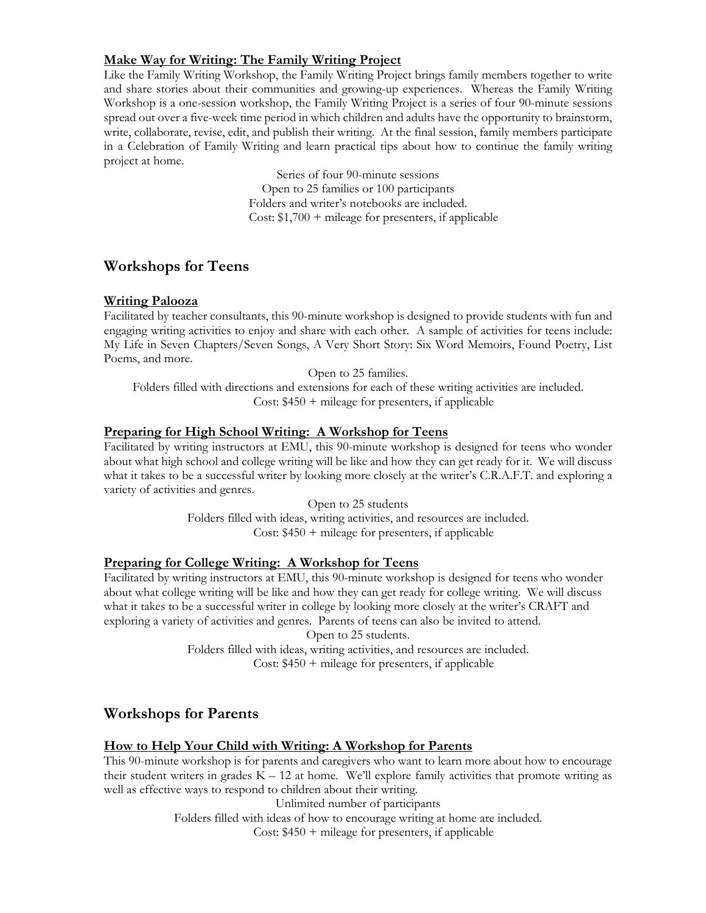# **Make Way for Writing: The Family Writing Project**

Like the Family Writing Workshop, the Family Writing Project brings family members together to write and share stories about their communities and growing-up experiences. Whereas the Family Writing Workshop is a one-session workshop, the Family Writing Project is a series of four 90-minute sessions spread out over a five-week time period in which children and adults have the opportunity to brainstorm, write, collaborate, revise, edit, and publish their writing. At the final session, family members participate in a Celebration of Family Writing and learn practical tips about how to continue the family writing project at home.

> Series of four 90-minute sessions Open to 25 families or 100 participants Folders and writer's notebooks are included. Cost:  $$1,700 +$  mileage for presenters, if applicable

# **Workshops for Teens**

#### **Writing Palooza**

Facilitated by teacher consultants, this 90-minute workshop is designed to provide students with fun and engaging writing activities to enjoy and share with each other. A sample of activities for teens include: My Life in Seven Chapters/Seven Songs, A Very Short Story: Six Word Memoirs, Found Poetry, List Poems, and more.

Open to 25 families.

Folders filled with directions and extensions for each of these writing activities are included. Cost:  $$450 + mileage$  for presenters, if applicable

#### **Preparing for High School Writing: A Workshop for Teens**

Facilitated by writing instructors at EMU, this 90-minute workshop is designed for teens who wonder about what high school and college writing will be like and how they can get ready for it. We will discuss what it takes to be a successful writer by looking more closely at the writer's C.R.A.F.T. and exploring a variety of activities and genres.

> Open to 25 students Folders filled with ideas, writing activities, and resources are included. Cost: \$450 + mileage for presenters, if applicable

## **Preparing for College Writing: A Workshop for Teens**

Facilitated by writing instructors at EMU, this 90-minute workshop is designed for teens who wonder about what college writing will be like and how they can get ready for college writing. We will discuss what it takes to be a successful writer in college by looking more closely at the writer's CRAFT and exploring a variety of activities and genres. Parents of teens can also be invited to attend.

Open to 25 students.

Folders filled with ideas, writing activities, and resources are included. Cost: \$450 + mileage for presenters, if applicable

# **Workshops for Parents**

#### **How to Help Your Child with Writing: A Workshop for Parents**

This 90-minute workshop is for parents and caregivers who want to learn more about how to encourage their student writers in grades  $K - 12$  at home. We'll explore family activities that promote writing as well as effective ways to respond to children about their writing.

Unlimited number of participants

Folders filled with ideas of how to encourage writing at home are included.

Cost: \$450 + mileage for presenters, if applicable